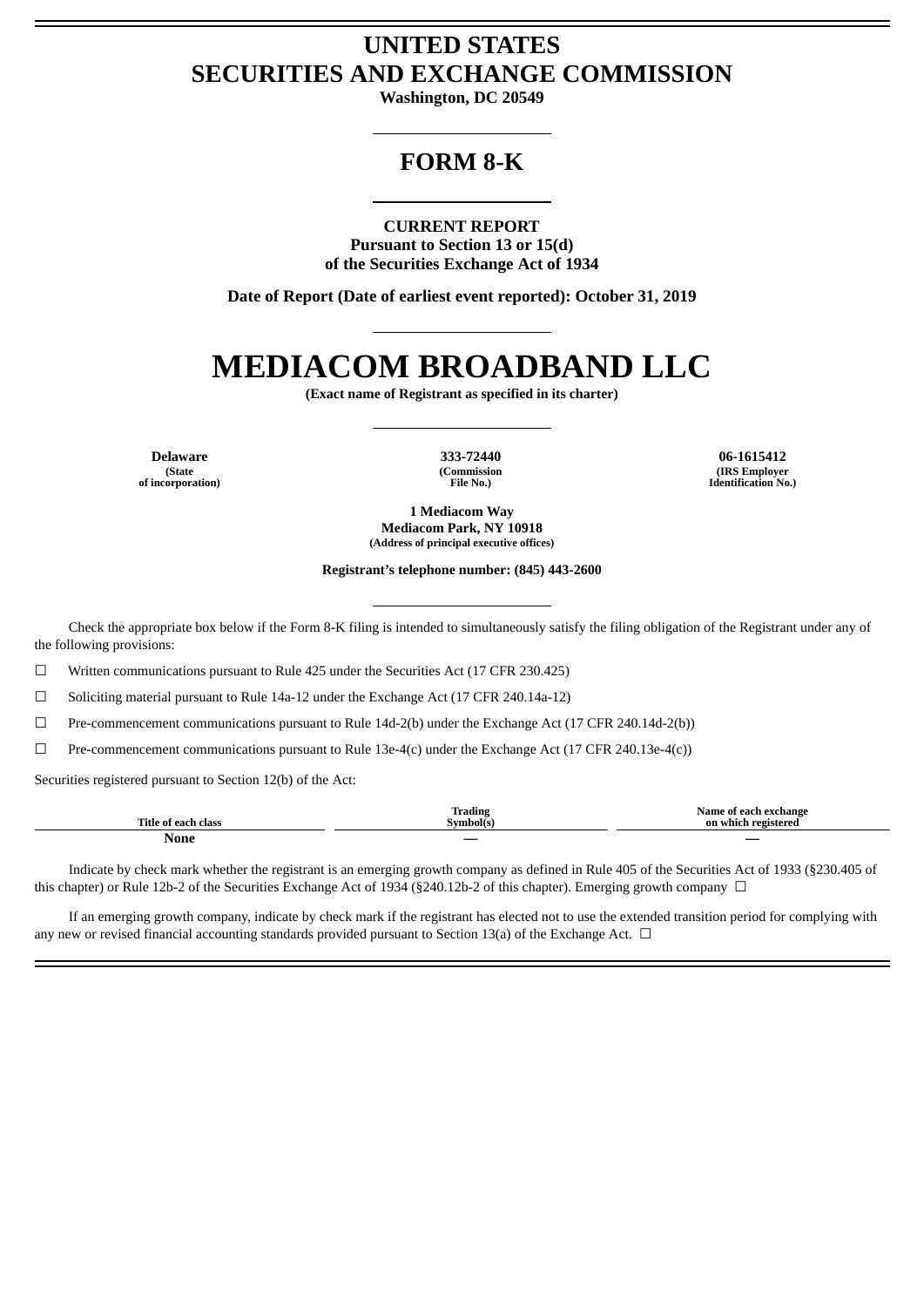# **UNITED STATES SECURITIES AND EXCHANGE COMMISSION**

**Washington, DC 20549**

# **FORM 8-K**

#### **CURRENT REPORT**

**Pursuant to Section 13 or 15(d) of the Securities Exchange Act of 1934**

**Date of Report (Date of earliest event reported): October 31, 2019**

# **MEDIACOM BROADBAND LLC**

**(Exact name of Registrant as specified in its charter)**

**(State of incorporation)**

**(Commission File No.)**

**Delaware 333-72440 06-1615412 (IRS Employer Identification No.)**

> **1 Mediacom Way Mediacom Park, NY 10918 (Address of principal executive offices)**

**Registrant's telephone number: (845) 443-2600**

Check the appropriate box below if the Form 8-K filing is intended to simultaneously satisfy the filing obligation of the Registrant under any of the following provisions:

☐ Written communications pursuant to Rule 425 under the Securities Act (17 CFR 230.425)

☐ Soliciting material pursuant to Rule 14a-12 under the Exchange Act (17 CFR 240.14a-12)

 $\Box$  Pre-commencement communications pursuant to Rule 14d-2(b) under the Exchange Act (17 CFR 240.14d-2(b))

 $\Box$  Pre-commencement communications pursuant to Rule 13e-4(c) under the Exchange Act (17 CFR 240.13e-4(c))

Securities registered pursuant to Section 12(b) of the Act:

| <b>Title</b><br>class | <b>Trading</b><br>Symbol(s) | change<br>ame<br>ч.<br>-<br>on<br>350<br>ictoroc<br>which |
|-----------------------|-----------------------------|-----------------------------------------------------------|
| None                  |                             | $\overline{\phantom{a}}$                                  |

Indicate by check mark whether the registrant is an emerging growth company as defined in Rule 405 of the Securities Act of 1933 (§230.405 of this chapter) or Rule 12b-2 of the Securities Exchange Act of 1934 (§240.12b-2 of this chapter). Emerging growth company  $\Box$ 

If an emerging growth company, indicate by check mark if the registrant has elected not to use the extended transition period for complying with any new or revised financial accounting standards provided pursuant to Section 13(a) of the Exchange Act.  $\Box$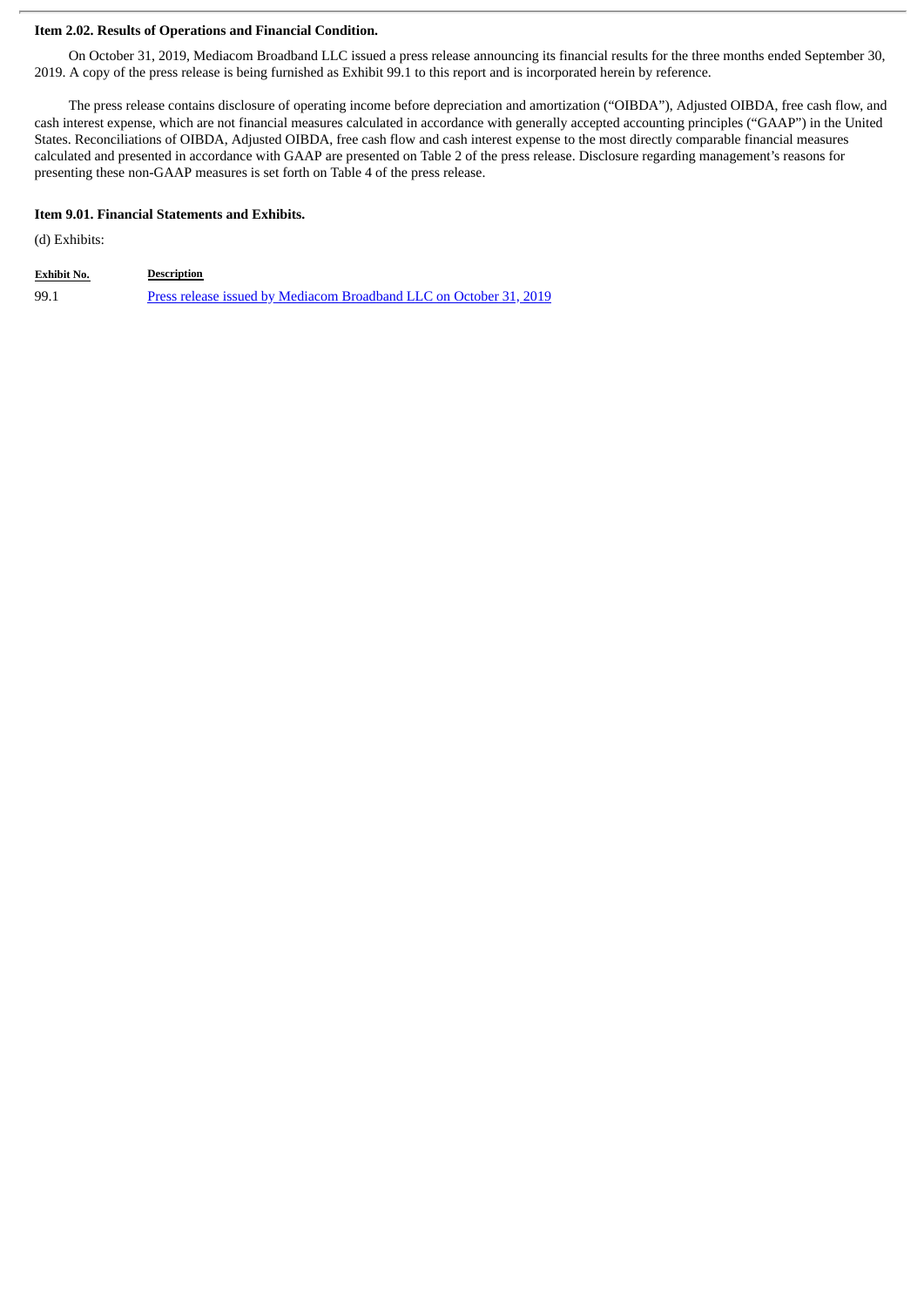#### **Item 2.02. Results of Operations and Financial Condition.**

On October 31, 2019, Mediacom Broadband LLC issued a press release announcing its financial results for the three months ended September 30, 2019. A copy of the press release is being furnished as Exhibit 99.1 to this report and is incorporated herein by reference.

The press release contains disclosure of operating income before depreciation and amortization ("OIBDA"), Adjusted OIBDA, free cash flow, and cash interest expense, which are not financial measures calculated in accordance with generally accepted accounting principles ("GAAP") in the United States. Reconciliations of OIBDA, Adjusted OIBDA, free cash flow and cash interest expense to the most directly comparable financial measures calculated and presented in accordance with GAAP are presented on Table 2 of the press release. Disclosure regarding management's reasons for presenting these non-GAAP measures is set forth on Table 4 of the press release.

# **Item 9.01. Financial Statements and Exhibits.**

(d) Exhibits:

| <b>Exhibit No.</b> | <b>Description</b>                                                 |
|--------------------|--------------------------------------------------------------------|
| 99.1               | Press release issued by Mediacom Broadband LLC on October 31, 2019 |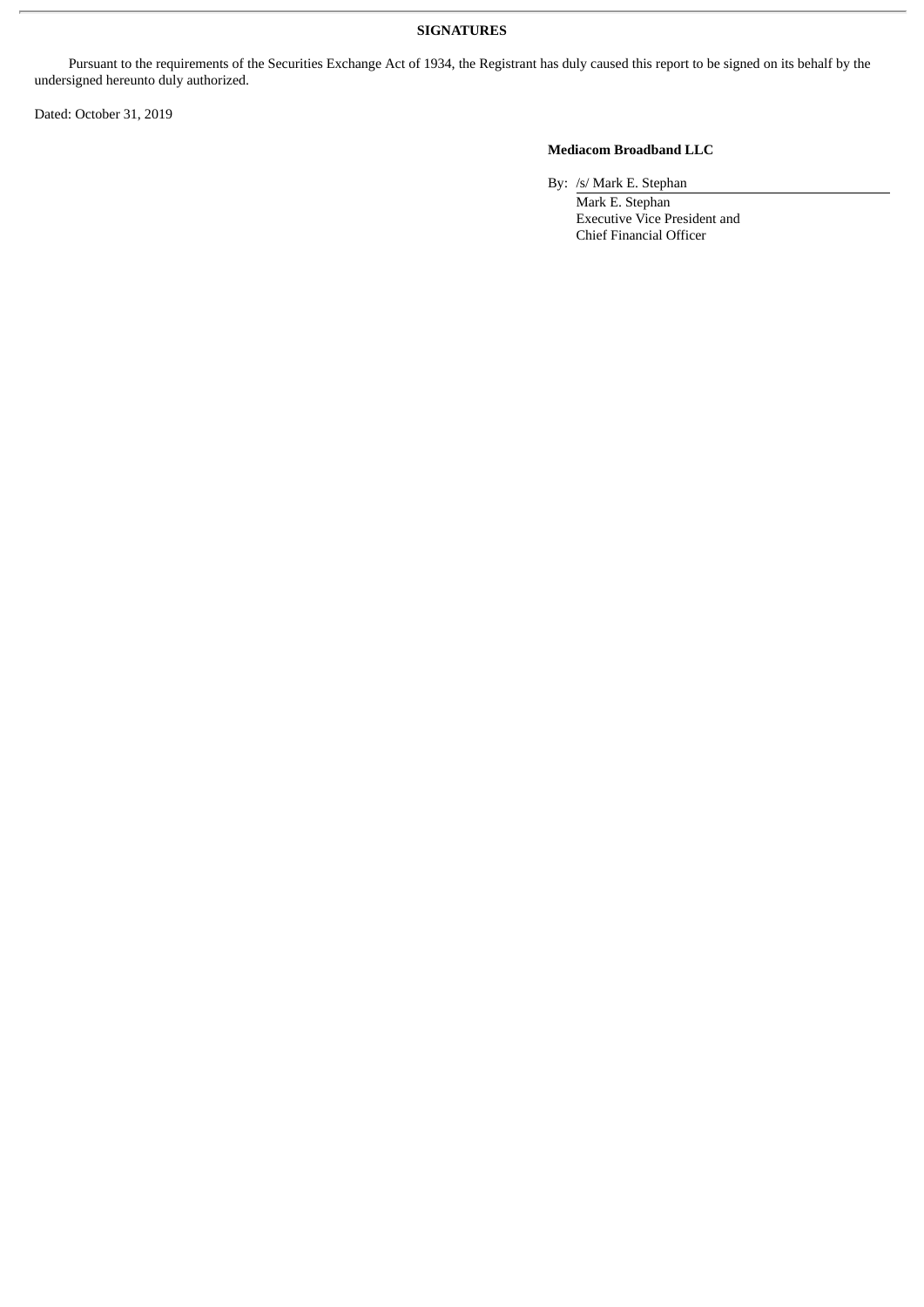### **SIGNATURES**

Pursuant to the requirements of the Securities Exchange Act of 1934, the Registrant has duly caused this report to be signed on its behalf by the undersigned hereunto duly authorized.

Dated: October 31, 2019

# **Mediacom Broadband LLC**

By: /s/ Mark E. Stephan

Mark E. Stephan Executive Vice President and Chief Financial Officer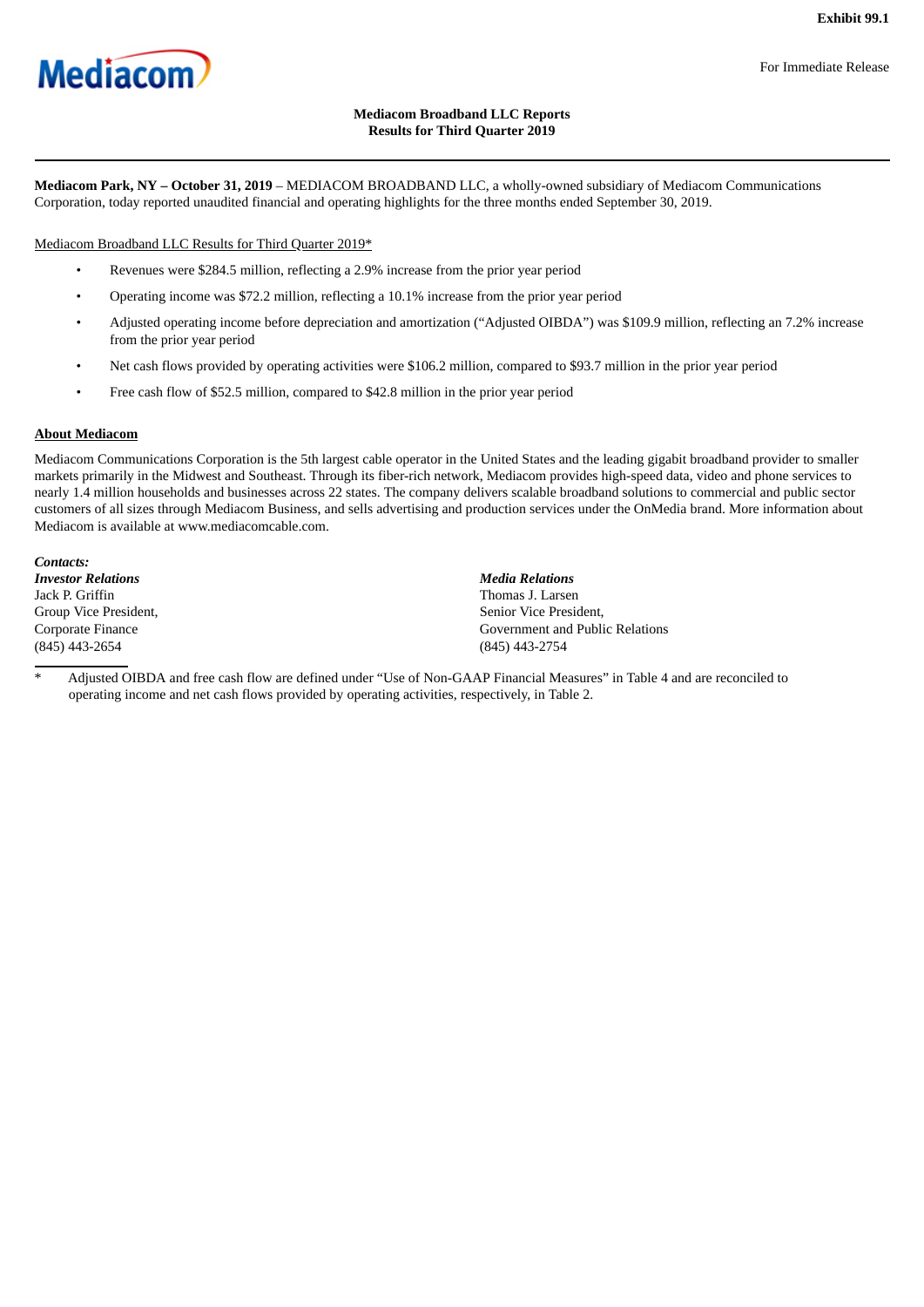<span id="page-3-0"></span>

#### For Immediate Release

# **Mediacom Broadband LLC Reports Results for Third Quarter 2019**

**Mediacom Park, NY – October 31, 2019** – MEDIACOM BROADBAND LLC, a wholly-owned subsidiary of Mediacom Communications Corporation, today reported unaudited financial and operating highlights for the three months ended September 30, 2019.

Mediacom Broadband LLC Results for Third Quarter 2019\*

- Revenues were \$284.5 million, reflecting a 2.9% increase from the prior year period
- Operating income was \$72.2 million, reflecting a 10.1% increase from the prior year period
- Adjusted operating income before depreciation and amortization ("Adjusted OIBDA") was \$109.9 million, reflecting an 7.2% increase from the prior year period
- Net cash flows provided by operating activities were \$106.2 million, compared to \$93.7 million in the prior year period
- Free cash flow of \$52.5 million, compared to \$42.8 million in the prior year period

## **About Mediacom**

Mediacom Communications Corporation is the 5th largest cable operator in the United States and the leading gigabit broadband provider to smaller markets primarily in the Midwest and Southeast. Through its fiber-rich network, Mediacom provides high-speed data, video and phone services to nearly 1.4 million households and businesses across 22 states. The company delivers scalable broadband solutions to commercial and public sector customers of all sizes through Mediacom Business, and sells advertising and production services under the OnMedia brand. More information about Mediacom is available at www.mediacomcable.com.

*Contacts: Investor Relations Media Relations* Jack P. Griffin Thomas J. Larsen Group Vice President, Corporate Finance (845) 443-2654 (845) 443-2754

Senior Vice President, Government and Public Relations

Adjusted OIBDA and free cash flow are defined under "Use of Non-GAAP Financial Measures" in Table 4 and are reconciled to operating income and net cash flows provided by operating activities, respectively, in Table 2.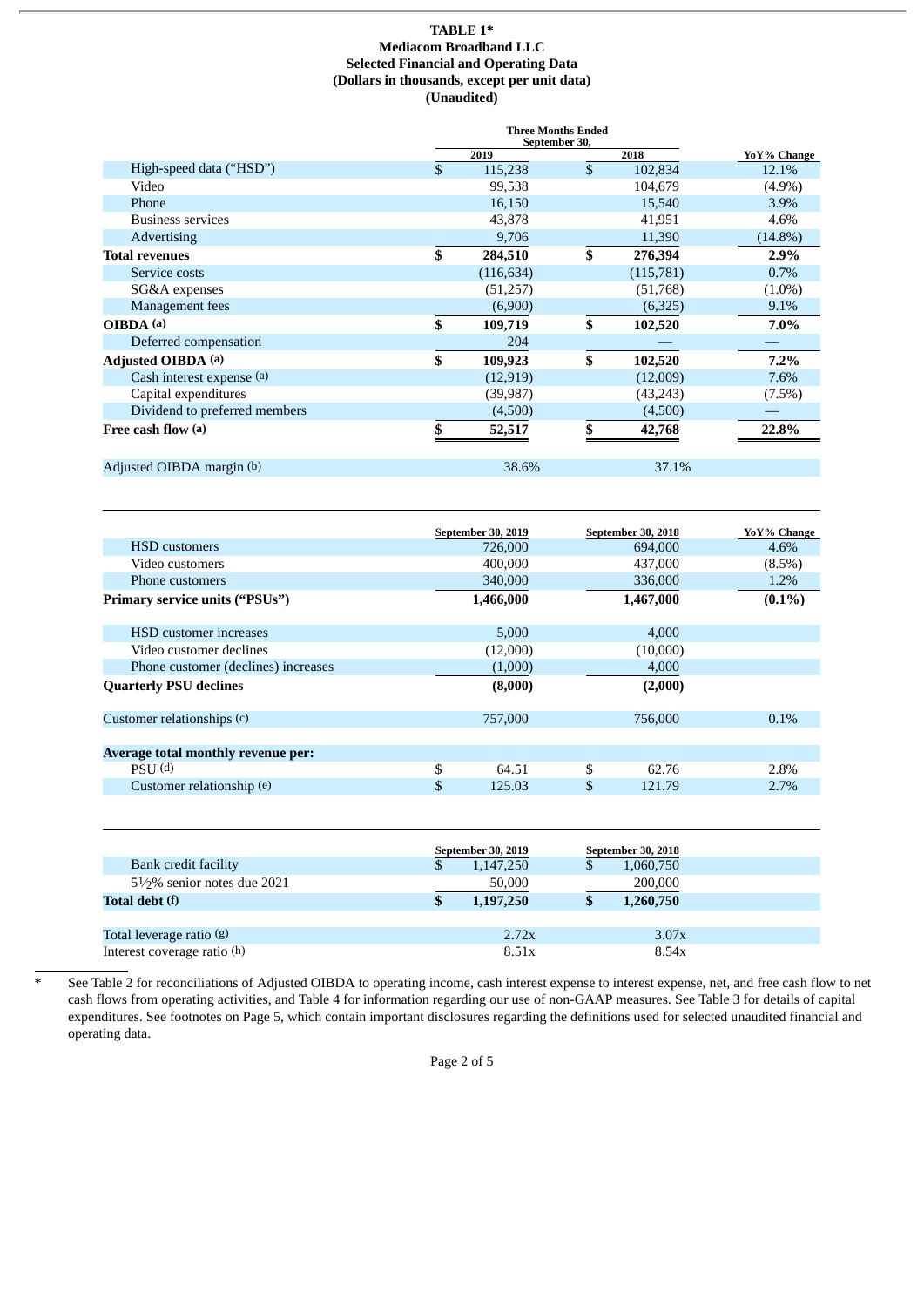#### **TABLE 1\* Mediacom Broadband LLC Selected Financial and Operating Data (Dollars in thousands, except per unit data) (Unaudited)**

| <b>Three Months Ended</b> |            |    |               |             |
|---------------------------|------------|----|---------------|-------------|
|                           | 2019       |    | 2018          | YoY% Change |
|                           | 115,238    | \$ | 102,834       | 12.1%       |
|                           | 99,538     |    | 104,679       | $(4.9\%)$   |
|                           | 16,150     |    | 15,540        | 3.9%        |
|                           | 43,878     |    | 41,951        | 4.6%        |
|                           | 9,706      |    | 11,390        | $(14.8\%)$  |
| \$                        | 284,510    | \$ | 276,394       | 2.9%        |
|                           | (116, 634) |    | (115,781)     | 0.7%        |
|                           | (51,257)   |    | (51,768)      | $(1.0\%)$   |
|                           | (6,900)    |    | (6,325)       | 9.1%        |
| \$                        | 109,719    | \$ | 102,520       | 7.0%        |
|                           | 204        |    |               |             |
| \$                        | 109,923    | \$ | 102,520       | $7.2\%$     |
|                           | (12, 919)  |    | (12,009)      | 7.6%        |
|                           | (39, 987)  |    | (43, 243)     | (7.5%)      |
|                           | (4,500)    |    | (4,500)       |             |
|                           | 52,517     |    | 42,768        | 22.8%       |
|                           |            |    |               |             |
|                           |            |    | September 30, |             |

Adjusted OIBDA margin (b) 38.6% 37.1%

|                                       | September 30, 2019 |           | September 30, 2018 | YoY% Change |
|---------------------------------------|--------------------|-----------|--------------------|-------------|
| <b>HSD</b> customers                  |                    | 726,000   | 694,000            | 4.6%        |
| Video customers                       |                    | 400,000   | 437,000            | $(8.5\%)$   |
| Phone customers                       |                    | 340,000   | 336,000            | 1.2%        |
| <b>Primary service units ("PSUs")</b> |                    | 1,466,000 | 1,467,000          | $(0.1\%)$   |
| <b>HSD</b> customer increases         |                    | 5,000     | 4,000              |             |
| Video customer declines               |                    | (12,000)  | (10,000)           |             |
| Phone customer (declines) increases   |                    | (1,000)   | 4,000              |             |
| <b>Quarterly PSU declines</b>         |                    | (8,000)   | (2,000)            |             |
| Customer relationships (c)            |                    | 757,000   | 756,000            | $0.1\%$     |
| Average total monthly revenue per:    |                    |           |                    |             |
| $PSU$ (d)                             | \$                 | 64.51     | \$<br>62.76        | 2.8%        |
| Customer relationship (e)             | \$                 | 125.03    | \$<br>121.79       | $2.7\%$     |

|                                          | <b>September 30, 2019</b> | September 30, 2018 |
|------------------------------------------|---------------------------|--------------------|
| Bank credit facility                     | 1,147,250                 | 1,060,750          |
| 51/ <sub>2</sub> % senior notes due 2021 | 50,000                    | 200,000            |
| Total debt (f)                           | 1,197,250                 | 1,260,750          |
|                                          |                           |                    |
| Total leverage ratio (g)                 | 2.72x                     | 3.07x              |
| Interest coverage ratio $(h)$            | 8.51x                     | 8.54x              |

See Table 2 for reconciliations of Adjusted OIBDA to operating income, cash interest expense to interest expense, net, and free cash flow to net cash flows from operating activities, and Table 4 for information regarding our use of non-GAAP measures. See Table 3 for details of capital expenditures. See footnotes on Page 5, which contain important disclosures regarding the definitions used for selected unaudited financial and operating data.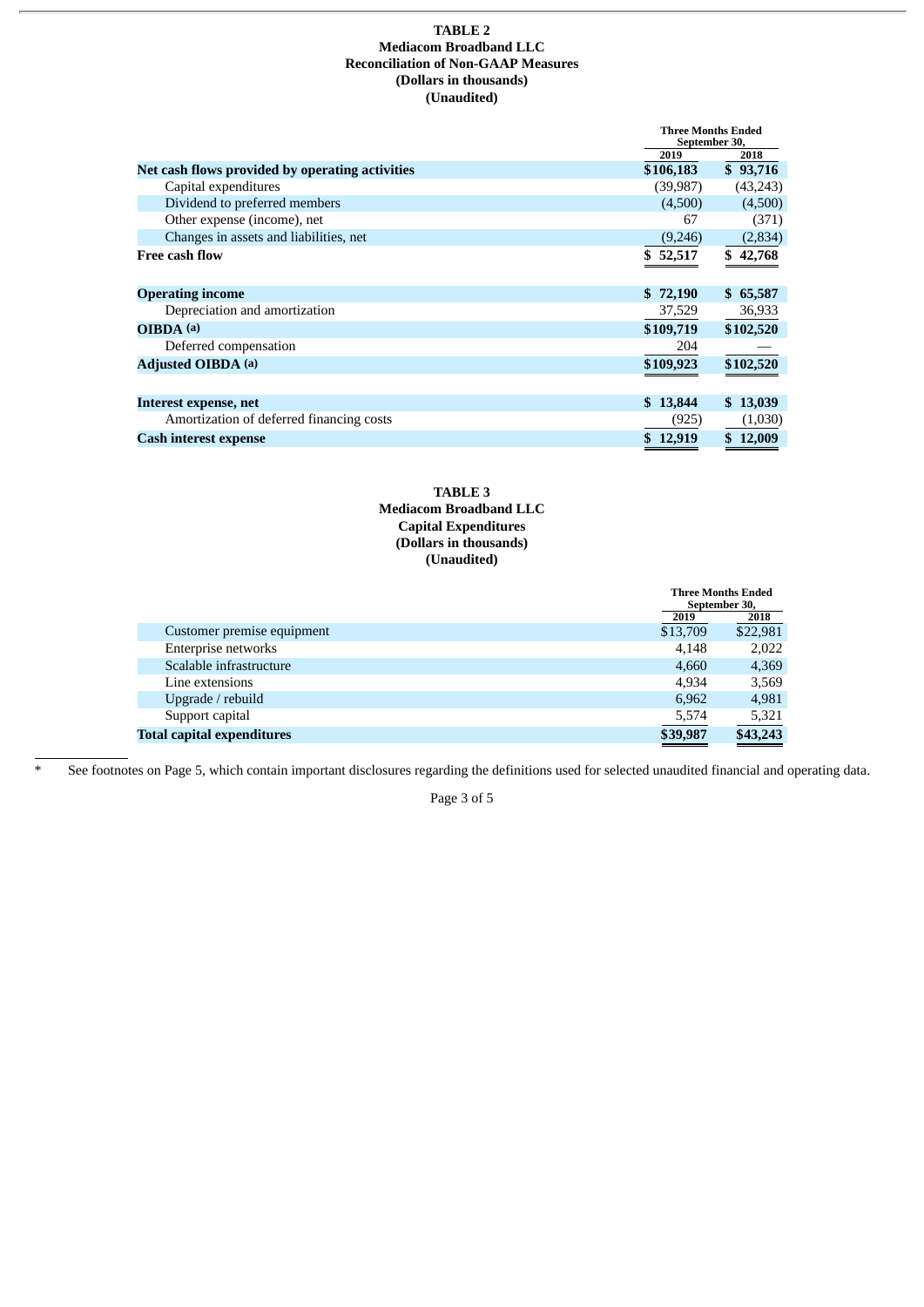#### **TABLE 2 Mediacom Broadband LLC Reconciliation of Non-GAAP Measures (Dollars in thousands) (Unaudited)**

|                                                 |           | <b>Three Months Ended</b><br>September 30, |  |
|-------------------------------------------------|-----------|--------------------------------------------|--|
|                                                 | 2019      | 2018                                       |  |
| Net cash flows provided by operating activities | \$106,183 | \$93,716                                   |  |
| Capital expenditures                            | (39,987)  | (43, 243)                                  |  |
| Dividend to preferred members                   | (4,500)   | (4,500)                                    |  |
| Other expense (income), net                     | 67        | (371)                                      |  |
| Changes in assets and liabilities, net          | (9,246)   | (2, 834)                                   |  |
| <b>Free cash flow</b>                           | \$52,517  | \$42,768                                   |  |
| <b>Operating income</b>                         | \$72,190  | \$65,587                                   |  |
| Depreciation and amortization                   | 37,529    | 36,933                                     |  |
| OIBDA (a)                                       | \$109,719 | \$102,520                                  |  |
| Deferred compensation                           | 204       |                                            |  |
| <b>Adjusted OIBDA (a)</b>                       | \$109,923 | \$102,520                                  |  |
| Interest expense, net                           | \$13,844  | \$13,039                                   |  |
| Amortization of deferred financing costs        | (925)     | (1,030)                                    |  |
| <b>Cash interest expense</b>                    | \$12,919  | \$12,009                                   |  |

## **TABLE 3 Mediacom Broadband LLC Capital Expenditures (Dollars in thousands) (Unaudited)**

|                                   |          | <b>Three Months Ended</b><br>September 30, |  |
|-----------------------------------|----------|--------------------------------------------|--|
|                                   | 2019     | 2018                                       |  |
| Customer premise equipment        | \$13,709 | \$22,981                                   |  |
| Enterprise networks               | 4.148    | 2,022                                      |  |
| Scalable infrastructure           | 4,660    | 4,369                                      |  |
| Line extensions                   | 4.934    | 3,569                                      |  |
| Upgrade / rebuild                 | 6.962    | 4,981                                      |  |
| Support capital                   | 5,574    | 5,321                                      |  |
| <b>Total capital expenditures</b> | \$39,987 | \$43,243                                   |  |

\* See footnotes on Page 5, which contain important disclosures regarding the definitions used for selected unaudited financial and operating data.

Page 3 of 5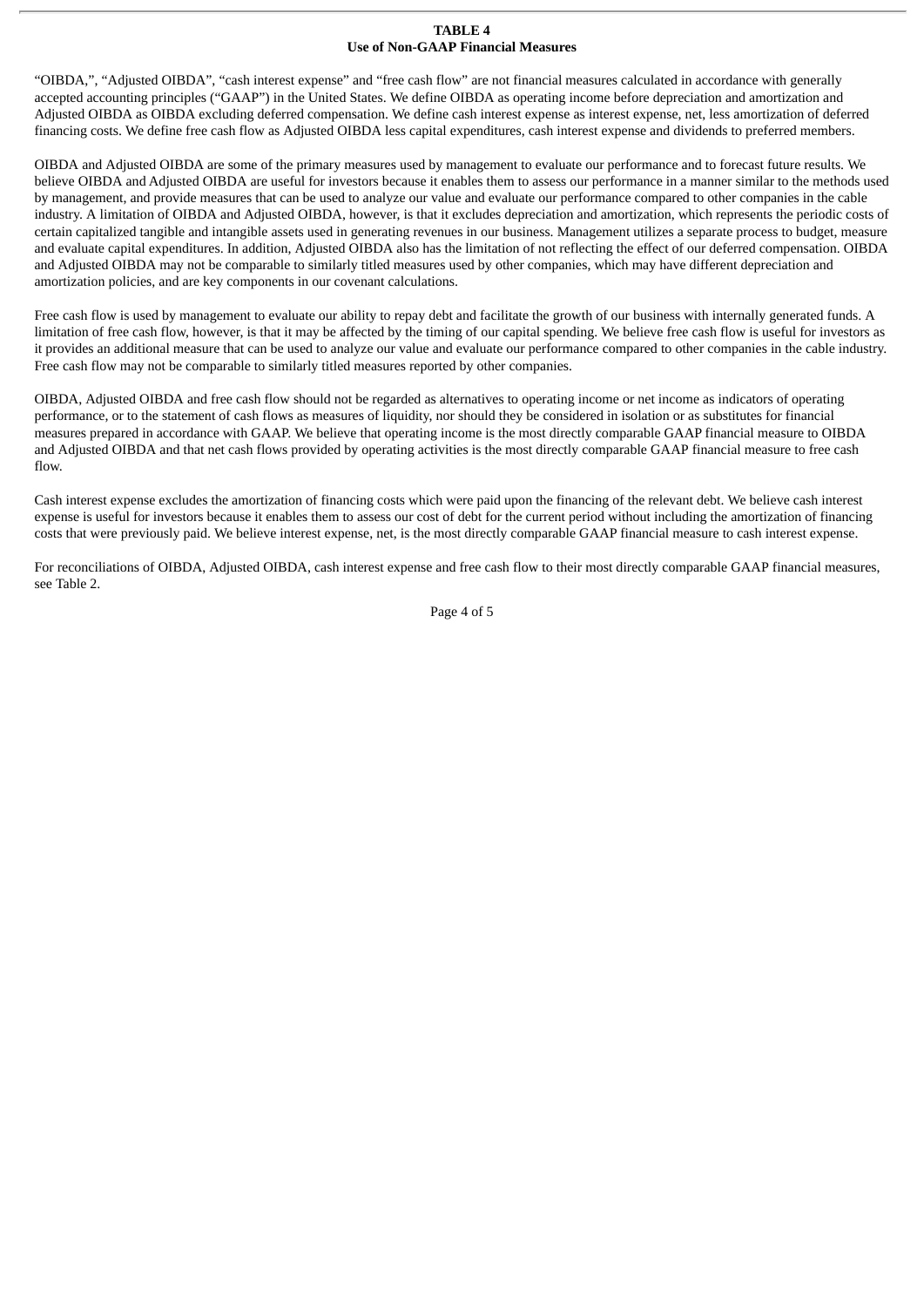#### **TABLE 4 Use of Non-GAAP Financial Measures**

"OIBDA,", "Adjusted OIBDA", "cash interest expense" and "free cash flow" are not financial measures calculated in accordance with generally accepted accounting principles ("GAAP") in the United States. We define OIBDA as operating income before depreciation and amortization and Adjusted OIBDA as OIBDA excluding deferred compensation. We define cash interest expense as interest expense, net, less amortization of deferred financing costs. We define free cash flow as Adjusted OIBDA less capital expenditures, cash interest expense and dividends to preferred members.

OIBDA and Adjusted OIBDA are some of the primary measures used by management to evaluate our performance and to forecast future results. We believe OIBDA and Adjusted OIBDA are useful for investors because it enables them to assess our performance in a manner similar to the methods used by management, and provide measures that can be used to analyze our value and evaluate our performance compared to other companies in the cable industry. A limitation of OIBDA and Adjusted OIBDA, however, is that it excludes depreciation and amortization, which represents the periodic costs of certain capitalized tangible and intangible assets used in generating revenues in our business. Management utilizes a separate process to budget, measure and evaluate capital expenditures. In addition, Adjusted OIBDA also has the limitation of not reflecting the effect of our deferred compensation. OIBDA and Adjusted OIBDA may not be comparable to similarly titled measures used by other companies, which may have different depreciation and amortization policies, and are key components in our covenant calculations.

Free cash flow is used by management to evaluate our ability to repay debt and facilitate the growth of our business with internally generated funds. A limitation of free cash flow, however, is that it may be affected by the timing of our capital spending. We believe free cash flow is useful for investors as it provides an additional measure that can be used to analyze our value and evaluate our performance compared to other companies in the cable industry. Free cash flow may not be comparable to similarly titled measures reported by other companies.

OIBDA, Adjusted OIBDA and free cash flow should not be regarded as alternatives to operating income or net income as indicators of operating performance, or to the statement of cash flows as measures of liquidity, nor should they be considered in isolation or as substitutes for financial measures prepared in accordance with GAAP. We believe that operating income is the most directly comparable GAAP financial measure to OIBDA and Adjusted OIBDA and that net cash flows provided by operating activities is the most directly comparable GAAP financial measure to free cash flow.

Cash interest expense excludes the amortization of financing costs which were paid upon the financing of the relevant debt. We believe cash interest expense is useful for investors because it enables them to assess our cost of debt for the current period without including the amortization of financing costs that were previously paid. We believe interest expense, net, is the most directly comparable GAAP financial measure to cash interest expense.

For reconciliations of OIBDA, Adjusted OIBDA, cash interest expense and free cash flow to their most directly comparable GAAP financial measures, see Table 2.

Page 4 of 5